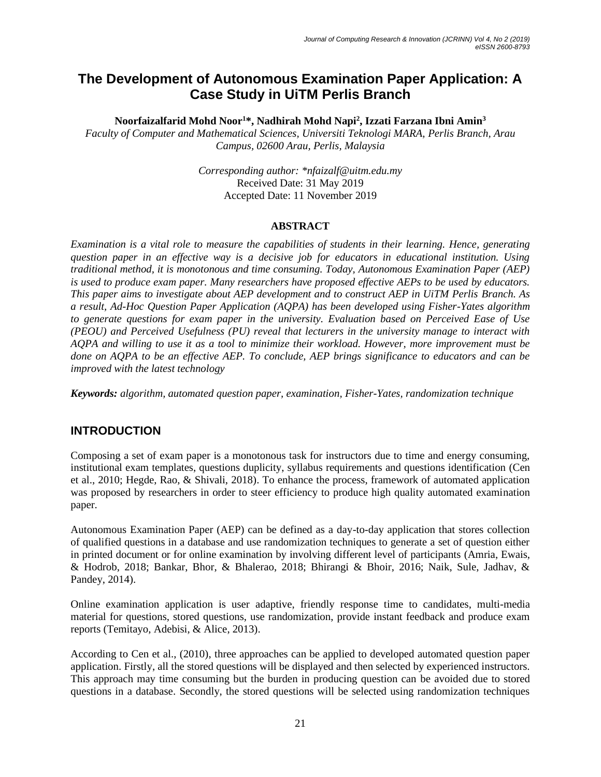# **The Development of Autonomous Examination Paper Application: A Case Study in UiTM Perlis Branch**

**Noorfaizalfarid Mohd Noor<sup>1</sup>\*, Nadhirah Mohd Napi<sup>2</sup> , Izzati Farzana Ibni Amin<sup>3</sup>**

*Faculty of Computer and Mathematical Sciences, Universiti Teknologi MARA, Perlis Branch, Arau Campus, 02600 Arau, Perlis, Malaysia*

> *Corresponding author: \*nfaizalf@uitm.edu.my* Received Date: 31 May 2019 Accepted Date: 11 November 2019

#### **ABSTRACT**

*Examination is a vital role to measure the capabilities of students in their learning. Hence, generating question paper in an effective way is a decisive job for educators in educational institution. Using traditional method, it is monotonous and time consuming. Today, Autonomous Examination Paper (AEP) is used to produce exam paper. Many researchers have proposed effective AEPs to be used by educators. This paper aims to investigate about AEP development and to construct AEP in UiTM Perlis Branch. As a result, Ad-Hoc Question Paper Application (AQPA) has been developed using Fisher-Yates algorithm to generate questions for exam paper in the university. Evaluation based on Perceived Ease of Use (PEOU) and Perceived Usefulness (PU) reveal that lecturers in the university manage to interact with AQPA and willing to use it as a tool to minimize their workload. However, more improvement must be done on AQPA to be an effective AEP. To conclude, AEP brings significance to educators and can be improved with the latest technology*

*Keywords: algorithm, automated question paper, examination, Fisher-Yates, randomization technique*

### **INTRODUCTION**

Composing a set of exam paper is a monotonous task for instructors due to time and energy consuming, institutional exam templates, questions duplicity, syllabus requirements and questions identification (Cen et al., 2010; Hegde, Rao, & Shivali, 2018). To enhance the process, framework of automated application was proposed by researchers in order to steer efficiency to produce high quality automated examination paper.

Autonomous Examination Paper (AEP) can be defined as a day-to-day application that stores collection of qualified questions in a database and use randomization techniques to generate a set of question either in printed document or for online examination by involving different level of participants (Amria, Ewais, & Hodrob, 2018; Bankar, Bhor, & Bhalerao, 2018; Bhirangi & Bhoir, 2016; Naik, Sule, Jadhav, & Pandey, 2014).

Online examination application is user adaptive, friendly response time to candidates, multi-media material for questions, stored questions, use randomization, provide instant feedback and produce exam reports (Temitayo, Adebisi, & Alice, 2013).

According to Cen et al., (2010), three approaches can be applied to developed automated question paper application. Firstly, all the stored questions will be displayed and then selected by experienced instructors. This approach may time consuming but the burden in producing question can be avoided due to stored questions in a database. Secondly, the stored questions will be selected using randomization techniques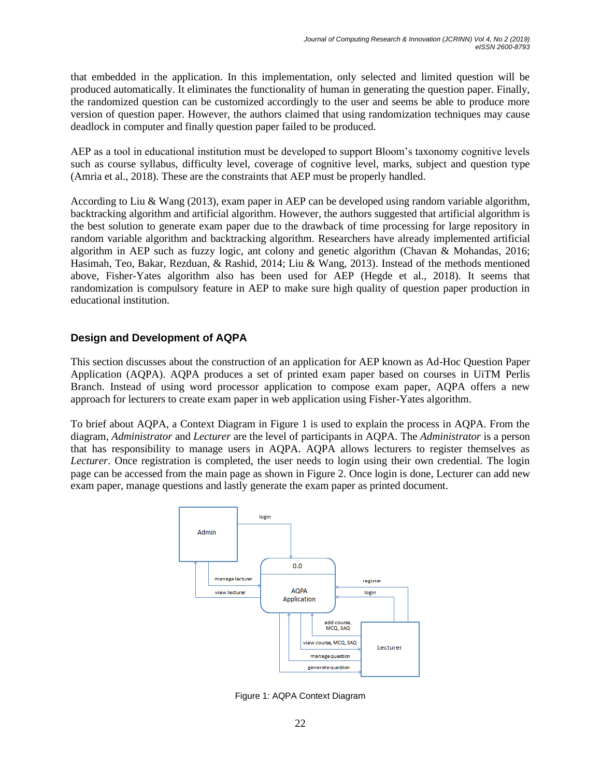that embedded in the application. In this implementation, only selected and limited question will be produced automatically. It eliminates the functionality of human in generating the question paper. Finally, the randomized question can be customized accordingly to the user and seems be able to produce more version of question paper. However, the authors claimed that using randomization techniques may cause deadlock in computer and finally question paper failed to be produced.

AEP as a tool in educational institution must be developed to support Bloom's taxonomy cognitive levels such as course syllabus, difficulty level, coverage of cognitive level, marks, subject and question type (Amria et al., 2018). These are the constraints that AEP must be properly handled.

According to Liu & Wang (2013), exam paper in AEP can be developed using random variable algorithm, backtracking algorithm and artificial algorithm. However, the authors suggested that artificial algorithm is the best solution to generate exam paper due to the drawback of time processing for large repository in random variable algorithm and backtracking algorithm. Researchers have already implemented artificial algorithm in AEP such as fuzzy logic, ant colony and genetic algorithm (Chavan & Mohandas, 2016; Hasimah, Teo, Bakar, Rezduan, & Rashid, 2014; Liu & Wang, 2013). Instead of the methods mentioned above, Fisher-Yates algorithm also has been used for AEP (Hegde et al., 2018). It seems that randomization is compulsory feature in AEP to make sure high quality of question paper production in educational institution.

### **Design and Development of AQPA**

This section discusses about the construction of an application for AEP known as Ad-Hoc Question Paper Application (AQPA). AQPA produces a set of printed exam paper based on courses in UiTM Perlis Branch. Instead of using word processor application to compose exam paper, AQPA offers a new approach for lecturers to create exam paper in web application using Fisher-Yates algorithm.

To brief about AQPA, a Context Diagram in Figure 1 is used to explain the process in AQPA. From the diagram, *Administrator* and *Lecturer* are the level of participants in AQPA. The *Administrator* is a person that has responsibility to manage users in AQPA. AQPA allows lecturers to register themselves as *Lecturer*. Once registration is completed, the user needs to login using their own credential. The login page can be accessed from the main page as shown in Figure 2. Once login is done, Lecturer can add new exam paper, manage questions and lastly generate the exam paper as printed document.



Figure 1: AQPA Context Diagram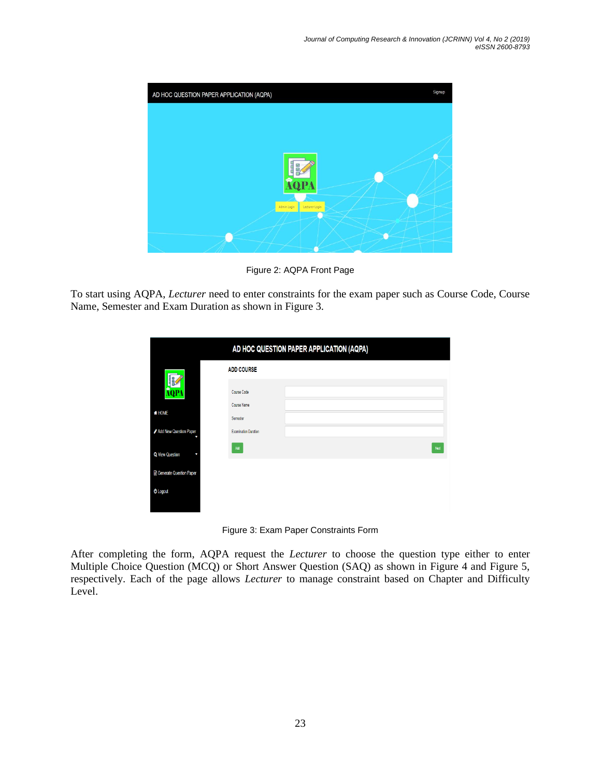

Figure 2: AQPA Front Page

To start using AQPA, *Lecturer* need to enter constraints for the exam paper such as Course Code, Course Name, Semester and Exam Duration as shown in Figure 3.

|                                  |                             | AD HOC QUESTION PAPER APPLICATION (AQPA) |
|----------------------------------|-----------------------------|------------------------------------------|
|                                  | <b>ADD COURSE</b>           |                                          |
| AQP.                             | Course Code                 |                                          |
| <b>#HOME</b>                     | Course Name<br>Semester     |                                          |
| Add New Question Paper           | <b>Examination Duration</b> |                                          |
| Q View Question<br>٠             | Add                         | Ned                                      |
| <b>B</b> Generate Question Paper |                             |                                          |
| <b><i>O</i></b> Logout           |                             |                                          |
|                                  |                             |                                          |

Figure 3: Exam Paper Constraints Form

After completing the form, AQPA request the *Lecturer* to choose the question type either to enter Multiple Choice Question (MCQ) or Short Answer Question (SAQ) as shown in Figure 4 and Figure 5, respectively. Each of the page allows *Lecturer* to manage constraint based on Chapter and Difficulty Level.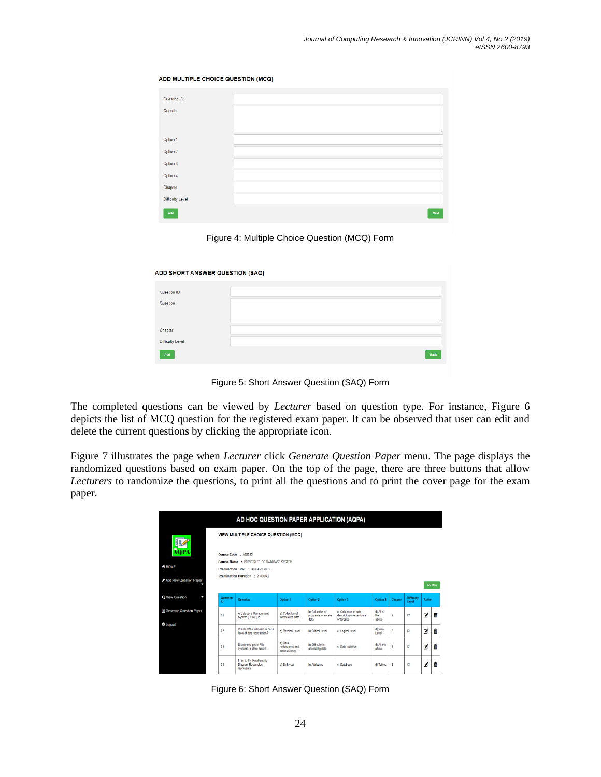ADD MULTIPLE CHOICE QUESTION (MCQ)

| Question ID             |      |
|-------------------------|------|
| Question                |      |
|                         |      |
|                         |      |
| Option 1                |      |
| Option 2                |      |
| Option 3                |      |
| Option 4                |      |
| Chapter                 |      |
| <b>Difficulty Level</b> |      |
| Add                     | Next |



| ADD SHORT ANSWER QUESTION (SAQ) |      |
|---------------------------------|------|
| Question ID                     |      |
|                                 |      |
| Question                        |      |
|                                 |      |
|                                 |      |
| Chapter                         |      |
| <b>Difficulty Level</b>         |      |
| Add                             | Back |

Figure 5: Short Answer Question (SAQ) Form

The completed questions can be viewed by *Lecturer* based on question type. For instance, Figure 6 depicts the list of MCQ question for the registered exam paper. It can be observed that user can edit and delete the current questions by clicking the appropriate icon.

Figure 7 illustrates the page when *Lecturer* click *Generate Question Paper* menu. The page displays the randomized questions based on exam paper. On the top of the page, there are three buttons that allow *Lecturers* to randomize the questions, to print all the questions and to print the cover page for the exam paper.

| AD HOC QUESTION PAPER APPLICATION (AQPA) |                                                                                       |                                                                      |                                            |                                                |                                                                  |                           |                |                            |        |   |  |
|------------------------------------------|---------------------------------------------------------------------------------------|----------------------------------------------------------------------|--------------------------------------------|------------------------------------------------|------------------------------------------------------------------|---------------------------|----------------|----------------------------|--------|---|--|
| <b>AQP</b>                               | VIEW MULTIPLE CHOICE QUESTION (MCQ)<br>Course Code : AIS235                           |                                                                      |                                            |                                                |                                                                  |                           |                |                            |        |   |  |
| <b># HOME</b>                            | Course Name: PRINCIPLES OF DATABASE SYSTEM<br><b>Examination Title : JANUARY 2019</b> |                                                                      |                                            |                                                |                                                                  |                           |                |                            |        |   |  |
| Add New Question Paper                   | <b>Examination Duration : 2 HOURS</b><br>Add More                                     |                                                                      |                                            |                                                |                                                                  |                           |                |                            |        |   |  |
| Q View Question                          | Question<br>Id                                                                        | Question                                                             | Option 1                                   | Option 2                                       | Option 3                                                         | Option 4                  | Chapter        | <b>Difficulty</b><br>Level | Action |   |  |
| <b>Generate Question Paper</b>           | 01                                                                                    | A Database Management<br>System (DBMS) is                            | a) Collection of<br>interrelated data      | b) Collection of<br>programs to access<br>data | c) Collection of data<br>describing one particular<br>enterprise | d) All of<br>the<br>above | $\overline{2}$ | C1                         | ø      | m |  |
| <b>O</b> Logout                          | 02                                                                                    | Which of the following is not a<br>level of data abstraction?        | a) Physical Level                          | <b>b) Critical Level</b>                       | c) Logical Level                                                 | d) View<br>Level          | $\overline{2}$ | C <sub>1</sub>             | ø      | 奤 |  |
|                                          | 03                                                                                    | Disadvantages of File<br>systems to store data is:                   | a) Data<br>redundancy and<br>inconsistency | b) Difficulty in<br>accessing data             | c) Data isolation                                                | d) All the<br>above       | $\overline{c}$ | C <sub>1</sub>             | ø      | 亩 |  |
|                                          | 04                                                                                    | In an Entity-Relationship<br><b>Diagram Rectangles</b><br>represents | a) Entity set                              | b) Attributes                                  | c) Database                                                      | d) Tables                 | $\overline{2}$ | C1                         | ß,     | 亩 |  |

Figure 6: Short Answer Question (SAQ) Form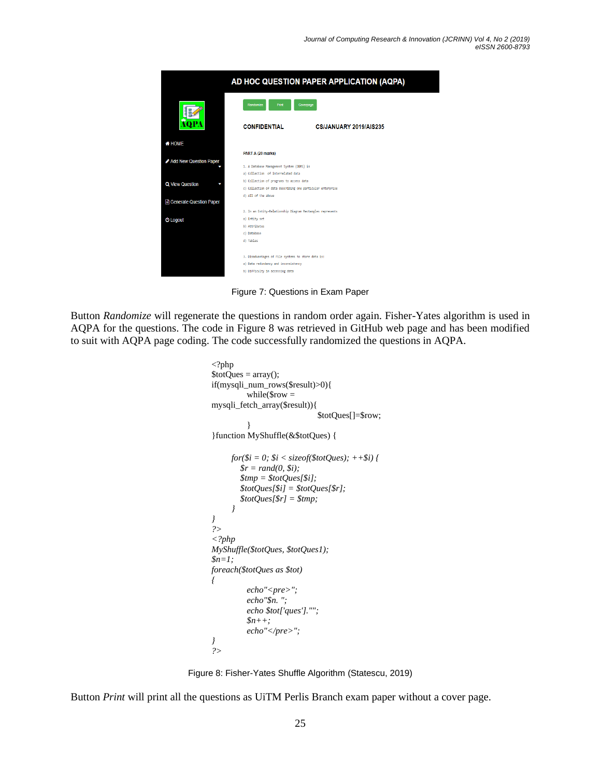

Figure 7: Questions in Exam Paper

Button *Randomize* will regenerate the questions in random order again. Fisher-Yates algorithm is used in AQPA for the questions. The code in Figure 8 was retrieved in GitHub web page and has been modified to suit with AQPA page coding. The code successfully randomized the questions in AQPA.

```
<?php
$totQues = array();if(mysqli_num_rows($result)>0){
          while($row =mysqli_fetch_array($result)){
                              $totQues[]=$row;
          }
}function MyShuffle(&$totQues) {
     for($i = 0; $i < sizeof($totQues); ++$i) {
        \mathcal{S}r = rand(0, \, \mathcal{S}i); $tmp = $totQues[$i];
         $totQues[$i] = $totQues[$r];
         $totQues[$r] = $tmp; 
      }
}
?>
<?php
MyShuffle($totQues, $totQues1);
$n=1;
foreach($totQues as $tot)
{
          echo"<pre>";
          echo"$n. ";
          echo $tot['ques']."";
          $n++;
          echo"</pre>";
}
?>
```


Button *Print* will print all the questions as UiTM Perlis Branch exam paper without a cover page.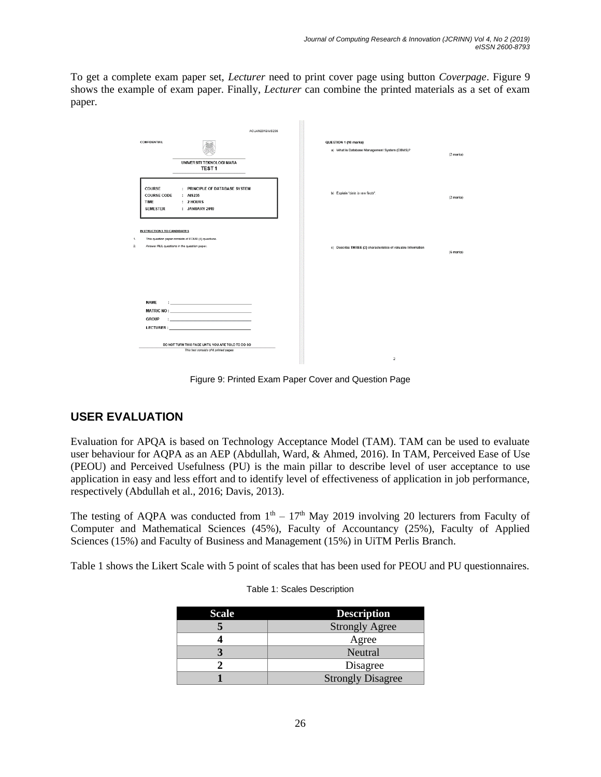To get a complete exam paper set, *Lecturer* need to print cover page using button *Coverpage*. Figure 9 shows the example of exam paper. Finally, *Lecturer* can combine the printed materials as a set of exam paper.

|                  |                                                         |                                                                                            | AC/JAN2019/AIS235 |                                                                        |          |
|------------------|---------------------------------------------------------|--------------------------------------------------------------------------------------------|-------------------|------------------------------------------------------------------------|----------|
|                  | <b>CONFIDENTIAL</b>                                     | UNIVERSITI TEKNOLOGI MARA<br>TEST <sub>1</sub>                                             |                   | QUESTION 1 (10 marks)<br>a) What is Database Management System (DBMS)? | (2 marks |
|                  | COURSE<br><b>COURSE CODE</b><br>TIME<br><b>SEMESTER</b> | : PRINCIPLE OF DATABASE SYSTEM<br>: AIS235<br>: 2 HOURS<br>: JANUARY 2019                  |                   | b) Explain "data is raw facts".                                        | (2 marks |
| 1.               | <b>INSTRUCTIONS TO CANDIDATES</b>                       | This question paper consists of FOUR (4) questions.                                        |                   |                                                                        |          |
| $\overline{2}$ . |                                                         | Answer ALL questions in the question paper.                                                |                   | c) Describe THREE (3) characteristics of valuable Information          | (6 marks |
|                  |                                                         |                                                                                            |                   |                                                                        |          |
|                  |                                                         |                                                                                            |                   |                                                                        |          |
|                  | <b>NAME</b>                                             | the control of the control of the control of the                                           |                   |                                                                        |          |
|                  | <b>GROUP</b>                                            | The control of the control of the control of                                               |                   |                                                                        |          |
|                  |                                                         | <b>LECTURER: CONTRACT STATE</b>                                                            |                   |                                                                        |          |
|                  |                                                         | DO NOT TURN THIS PAGE UNTIL YOU ARE TOLD TO DO SO<br>This test consists of 6 printed pages |                   | $\rightarrow$                                                          |          |

Figure 9: Printed Exam Paper Cover and Question Page

## **USER EVALUATION**

Evaluation for APQA is based on Technology Acceptance Model (TAM). TAM can be used to evaluate user behaviour for AQPA as an AEP (Abdullah, Ward, & Ahmed, 2016). In TAM, Perceived Ease of Use (PEOU) and Perceived Usefulness (PU) is the main pillar to describe level of user acceptance to use application in easy and less effort and to identify level of effectiveness of application in job performance, respectively (Abdullah et al., 2016; Davis, 2013).

The testing of AQPA was conducted from  $1<sup>th</sup> - 17<sup>th</sup>$  May 2019 involving 20 lecturers from Faculty of Computer and Mathematical Sciences (45%), Faculty of Accountancy (25%), Faculty of Applied Sciences (15%) and Faculty of Business and Management (15%) in UiTM Perlis Branch.

Table 1 shows the Likert Scale with 5 point of scales that has been used for PEOU and PU questionnaires.

| <b>Scale</b> | <b>Description</b>       |
|--------------|--------------------------|
|              | <b>Strongly Agree</b>    |
|              | Agree                    |
|              | Neutral                  |
|              | Disagree                 |
|              | <b>Strongly Disagree</b> |

| Table 1: Scales Description |  |  |
|-----------------------------|--|--|
|-----------------------------|--|--|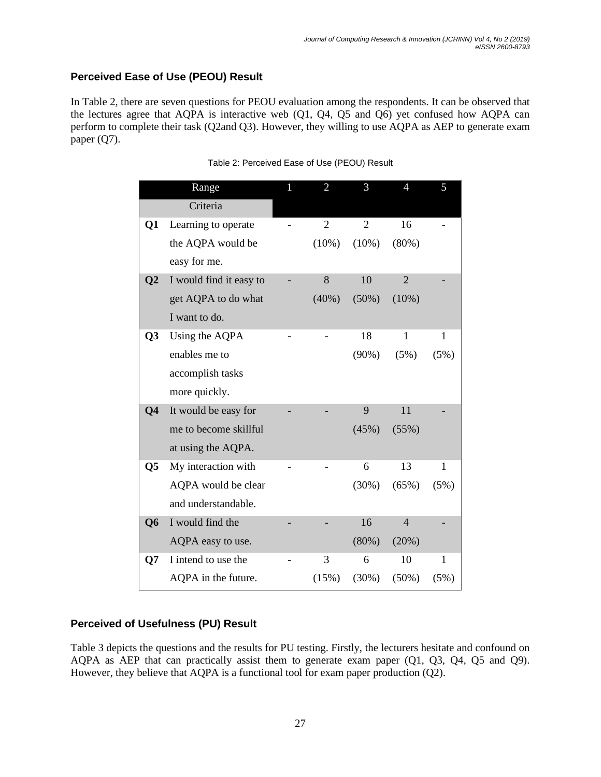### **Perceived Ease of Use (PEOU) Result**

In Table 2, there are seven questions for PEOU evaluation among the respondents. It can be observed that the lectures agree that AQPA is interactive web  $(Q1, Q4, Q5)$  and  $(Q6)$  yet confused how AQPA can perform to complete their task (Q2and Q3). However, they willing to use AQPA as AEP to generate exam paper (Q7).

|                 | Range                   | $\overline{2}$ | 3              | 4              | 5    |
|-----------------|-------------------------|----------------|----------------|----------------|------|
|                 | Criteria                |                |                |                |      |
| Q1              | Learning to operate     | $\overline{2}$ | $\overline{2}$ | 16             |      |
|                 | the AQPA would be       | $(10\%)$       | $(10\%)$       | (80%)          |      |
|                 | easy for me.            |                |                |                |      |
| $\overline{Q2}$ | I would find it easy to | 8              | 10             | $\overline{2}$ |      |
|                 | get AQPA to do what     | $(40\%)$       | $(50\%)$       | $(10\%)$       |      |
|                 | I want to do.           |                |                |                |      |
| Q <sub>3</sub>  | Using the AQPA          |                | 18             | 1              | 1    |
|                 | enables me to           |                | $(90\%)$       | (5%)           | (5%) |
|                 | accomplish tasks        |                |                |                |      |
|                 | more quickly.           |                |                |                |      |
| Q <sub>4</sub>  | It would be easy for    |                | 9              | 11             |      |
|                 | me to become skillful   |                | (45%)          | (55%)          |      |
|                 | at using the AQPA.      |                |                |                |      |
| Q5              | My interaction with     |                | 6              | 13             | 1    |
|                 | AQPA would be clear     |                | (30%)          | (65%)          | (5%) |
|                 | and understandable.     |                |                |                |      |
| Q <sub>6</sub>  | I would find the        |                | 16             | $\overline{4}$ |      |
|                 | AQPA easy to use.       |                | $(80\%)$       | (20%)          |      |
| Q7              | I intend to use the     | 3              | 6              | 10             | 1    |
|                 | AQPA in the future.     | (15%)          | $(30\%)$       | $(50\%)$       | (5%) |

| Table 2: Perceived Ease of Use (PEOU) Result |  |  |  |
|----------------------------------------------|--|--|--|
|                                              |  |  |  |

### **Perceived of Usefulness (PU) Result**

Table 3 depicts the questions and the results for PU testing. Firstly, the lecturers hesitate and confound on AQPA as AEP that can practically assist them to generate exam paper (Q1, Q3, Q4, Q5 and Q9). However, they believe that AQPA is a functional tool for exam paper production (Q2).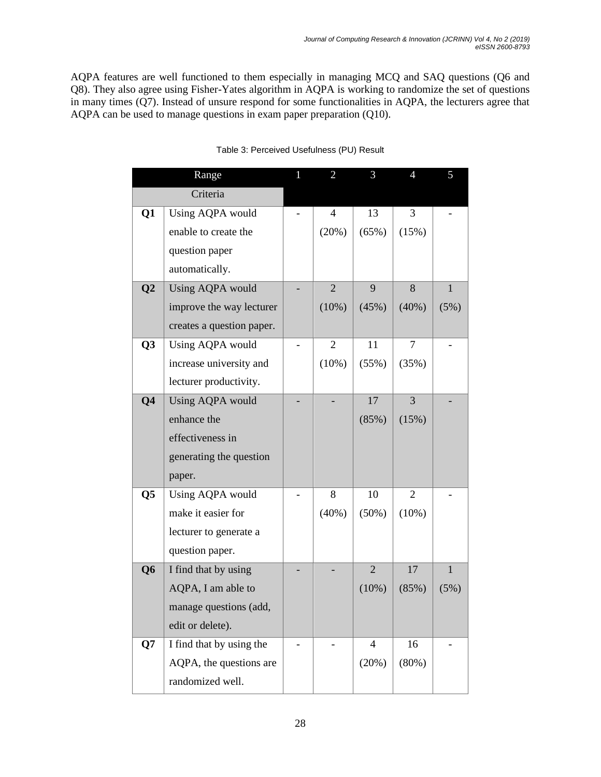AQPA features are well functioned to them especially in managing MCQ and SAQ questions (Q6 and Q8). They also agree using Fisher-Yates algorithm in AQPA is working to randomize the set of questions in many times (Q7). Instead of unsure respond for some functionalities in AQPA, the lecturers agree that AQPA can be used to manage questions in exam paper preparation (Q10).

|                 | Range                     | 1 | $\overline{2}$ | 3              | $\overline{4}$ | 5            |
|-----------------|---------------------------|---|----------------|----------------|----------------|--------------|
|                 | Criteria                  |   |                |                |                |              |
| Q1              | Using AQPA would          |   | $\overline{4}$ | 13             | $\overline{3}$ |              |
|                 | enable to create the      |   | (20%)          | (65%)          | (15%)          |              |
|                 | question paper            |   |                |                |                |              |
|                 | automatically.            |   |                |                |                |              |
| $\overline{Q2}$ | Using AQPA would          |   | $\overline{2}$ | 9              | 8              | $\mathbf{1}$ |
|                 | improve the way lecturer  |   | $(10\%)$       | (45%)          | (40%)          | (5%)         |
|                 | creates a question paper. |   |                |                |                |              |
| Q <sub>3</sub>  | Using AQPA would          |   | $\overline{2}$ | 11             | $\overline{7}$ |              |
|                 | increase university and   |   | $(10\%)$       | (55%)          | (35%)          |              |
|                 | lecturer productivity.    |   |                |                |                |              |
| Q <sub>4</sub>  | Using AQPA would          |   |                | 17             | $\overline{3}$ |              |
|                 | enhance the               |   |                | (85%)          | (15%)          |              |
|                 | effectiveness in          |   |                |                |                |              |
|                 | generating the question   |   |                |                |                |              |
|                 | paper.                    |   |                |                |                |              |
| Q5              | Using AQPA would          |   | 8              | 10             | $\overline{2}$ |              |
|                 | make it easier for        |   | (40%)          | (50%)          | (10%)          |              |
|                 | lecturer to generate a    |   |                |                |                |              |
|                 | question paper.           |   |                |                |                |              |
| Q <sub>6</sub>  | I find that by using      |   |                | $\overline{2}$ | 17             | $\mathbf{1}$ |
|                 | AQPA, I am able to        |   |                | $(10\%)$       | (85%)          | (5%)         |
|                 | manage questions (add,    |   |                |                |                |              |
|                 | edit or delete).          |   |                |                |                |              |
| Q7              | I find that by using the  |   |                | $\overline{4}$ | 16             |              |
|                 | AQPA, the questions are   |   |                | (20%)          | (80%)          |              |
|                 | randomized well.          |   |                |                |                |              |

Table 3: Perceived Usefulness (PU) Result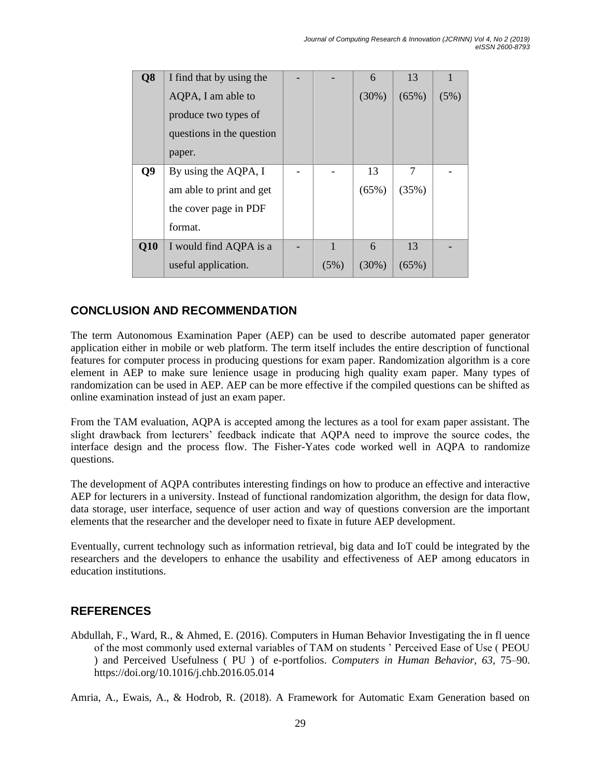| Q <sub>8</sub> | I find that by using the  |      | 6        | 13       |      |
|----------------|---------------------------|------|----------|----------|------|
|                | AQPA, I am able to        |      | (30%)    | (65%)    | (5%) |
|                | produce two types of      |      |          |          |      |
|                | questions in the question |      |          |          |      |
|                | paper.                    |      |          |          |      |
| Q9             | By using the AQPA, I      |      | 13       | 7        |      |
|                | am able to print and get  |      | (65%)    | (35%)    |      |
|                | the cover page in PDF     |      |          |          |      |
|                | format.                   |      |          |          |      |
| Q10            | I would find AQPA is a    | 1    | 6        | 13       |      |
|                | useful application.       | (5%) | $(30\%)$ | $(65\%)$ |      |

### **CONCLUSION AND RECOMMENDATION**

The term Autonomous Examination Paper (AEP) can be used to describe automated paper generator application either in mobile or web platform. The term itself includes the entire description of functional features for computer process in producing questions for exam paper. Randomization algorithm is a core element in AEP to make sure lenience usage in producing high quality exam paper. Many types of randomization can be used in AEP. AEP can be more effective if the compiled questions can be shifted as online examination instead of just an exam paper.

From the TAM evaluation, AQPA is accepted among the lectures as a tool for exam paper assistant. The slight drawback from lecturers' feedback indicate that AQPA need to improve the source codes, the interface design and the process flow. The Fisher-Yates code worked well in AQPA to randomize questions.

The development of AQPA contributes interesting findings on how to produce an effective and interactive AEP for lecturers in a university. Instead of functional randomization algorithm, the design for data flow, data storage, user interface, sequence of user action and way of questions conversion are the important elements that the researcher and the developer need to fixate in future AEP development.

Eventually, current technology such as information retrieval, big data and IoT could be integrated by the researchers and the developers to enhance the usability and effectiveness of AEP among educators in education institutions.

### **REFERENCES**

Abdullah, F., Ward, R., & Ahmed, E. (2016). Computers in Human Behavior Investigating the in fl uence of the most commonly used external variables of TAM on students ' Perceived Ease of Use ( PEOU ) and Perceived Usefulness ( PU ) of e-portfolios. *Computers in Human Behavior*, *63*, 75–90. https://doi.org/10.1016/j.chb.2016.05.014

Amria, A., Ewais, A., & Hodrob, R. (2018). A Framework for Automatic Exam Generation based on